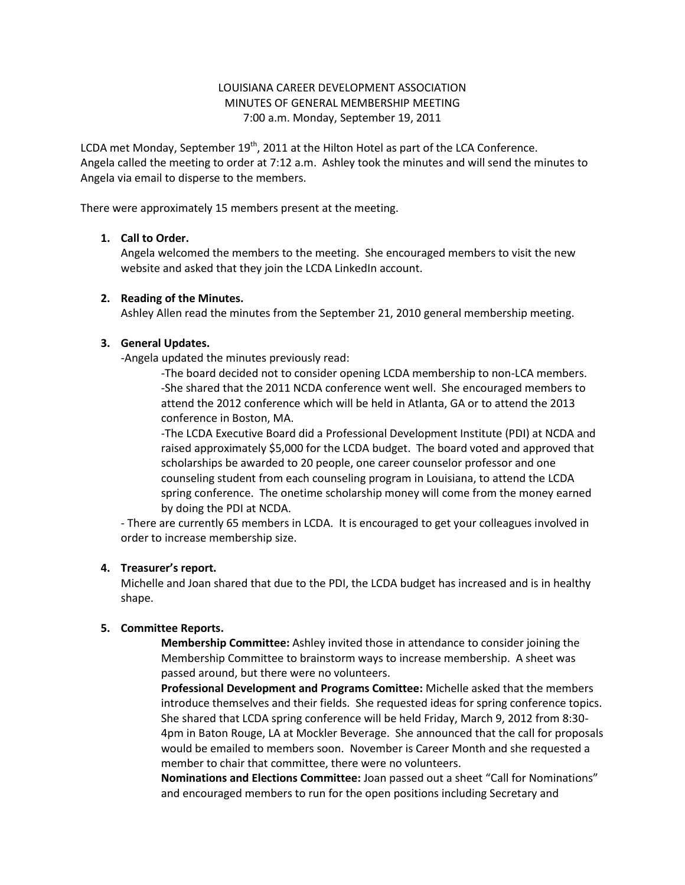# LOUISIANA CAREER DEVELOPMENT ASSOCIATION MINUTES OF GENERAL MEMBERSHIP MEETING 7:00 a.m. Monday, September 19, 2011

LCDA met Monday, September  $19<sup>th</sup>$ , 2011 at the Hilton Hotel as part of the LCA Conference. Angela called the meeting to order at 7:12 a.m. Ashley took the minutes and will send the minutes to Angela via email to disperse to the members.

There were approximately 15 members present at the meeting.

# **1. Call to Order.**

Angela welcomed the members to the meeting. She encouraged members to visit the new website and asked that they join the LCDA LinkedIn account.

#### **2. Reading of the Minutes.**

Ashley Allen read the minutes from the September 21, 2010 general membership meeting.

#### **3. General Updates.**

-Angela updated the minutes previously read:

-The board decided not to consider opening LCDA membership to non-LCA members. -She shared that the 2011 NCDA conference went well. She encouraged members to attend the 2012 conference which will be held in Atlanta, GA or to attend the 2013 conference in Boston, MA.

-The LCDA Executive Board did a Professional Development Institute (PDI) at NCDA and raised approximately \$5,000 for the LCDA budget. The board voted and approved that scholarships be awarded to 20 people, one career counselor professor and one counseling student from each counseling program in Louisiana, to attend the LCDA spring conference. The onetime scholarship money will come from the money earned by doing the PDI at NCDA.

- There are currently 65 members in LCDA. It is encouraged to get your colleagues involved in order to increase membership size.

#### **4. Treasurer's report.**

Michelle and Joan shared that due to the PDI, the LCDA budget has increased and is in healthy shape.

# **5. Committee Reports.**

**Membership Committee:** Ashley invited those in attendance to consider joining the Membership Committee to brainstorm ways to increase membership. A sheet was passed around, but there were no volunteers.

**Professional Development and Programs Comittee:** Michelle asked that the members introduce themselves and their fields. She requested ideas for spring conference topics. She shared that LCDA spring conference will be held Friday, March 9, 2012 from 8:30- 4pm in Baton Rouge, LA at Mockler Beverage. She announced that the call for proposals would be emailed to members soon. November is Career Month and she requested a member to chair that committee, there were no volunteers.

**Nominations and Elections Committee:** Joan passed out a sheet "Call for Nominations" and encouraged members to run for the open positions including Secretary and